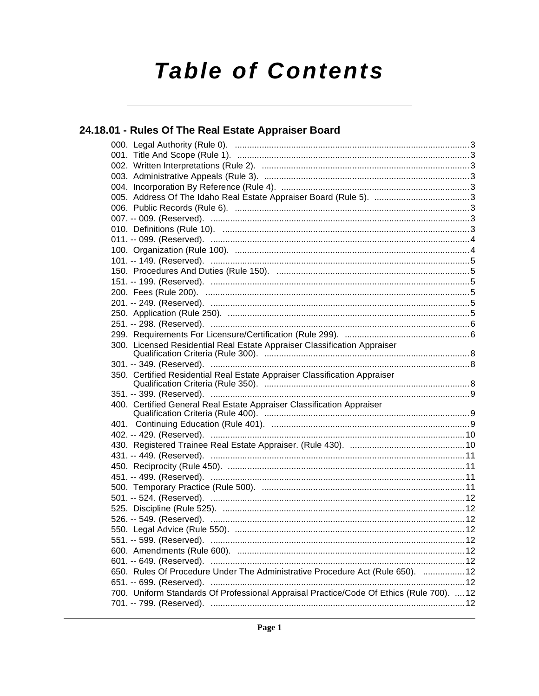# **Table of Contents**

## 24.18.01 - Rules Of The Real Estate Appraiser Board

| 300. Licensed Residential Real Estate Appraiser Classification Appraiser                 |  |
|------------------------------------------------------------------------------------------|--|
|                                                                                          |  |
| 350. Certified Residential Real Estate Appraiser Classification Appraiser                |  |
|                                                                                          |  |
| 400. Certified General Real Estate Appraiser Classification Appraiser                    |  |
|                                                                                          |  |
|                                                                                          |  |
|                                                                                          |  |
|                                                                                          |  |
|                                                                                          |  |
|                                                                                          |  |
|                                                                                          |  |
|                                                                                          |  |
|                                                                                          |  |
|                                                                                          |  |
|                                                                                          |  |
|                                                                                          |  |
|                                                                                          |  |
|                                                                                          |  |
|                                                                                          |  |
| 650. Rules Of Procedure Under The Administrative Procedure Act (Rule 650).  12           |  |
|                                                                                          |  |
| 700. Uniform Standards Of Professional Appraisal Practice/Code Of Ethics (Rule 700).  12 |  |
|                                                                                          |  |
|                                                                                          |  |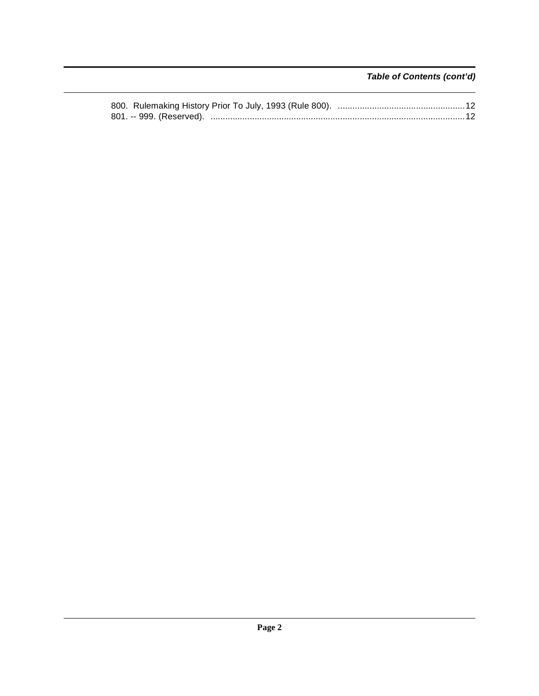### **Table of Contents (cont'd)**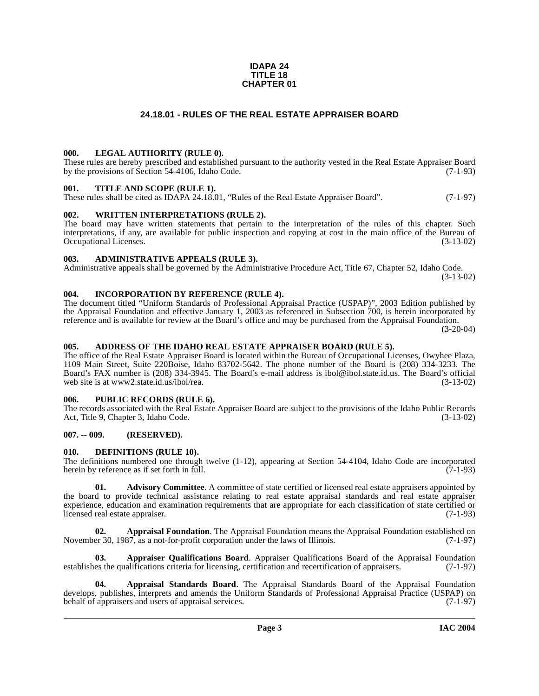#### **IDAPA 24 TITLE 18 CHAPTER 01**

#### **24.18.01 - RULES OF THE REAL ESTATE APPRAISER BOARD**

#### <span id="page-2-1"></span><span id="page-2-0"></span>**000. LEGAL AUTHORITY (RULE 0).**

These rules are hereby prescribed and established pursuant to the authority vested in the Real Estate Appraiser Board by the provisions of Section 54-4106, Idaho Code. (7-1-93)

#### <span id="page-2-2"></span>**001. TITLE AND SCOPE (RULE 1).**

These rules shall be cited as IDAPA 24.18.01, "Rules of the Real Estate Appraiser Board". (7-1-97)

#### <span id="page-2-3"></span>**002. WRITTEN INTERPRETATIONS (RULE 2).**

The board may have written statements that pertain to the interpretation of the rules of this chapter. Such interpretations, if any, are available for public inspection and copying at cost in the main office of the Bureau of Occupational Licenses. (3-13-02) Occupational Licenses.

#### <span id="page-2-4"></span>**003. ADMINISTRATIVE APPEALS (RULE 3).**

Administrative appeals shall be governed by the Administrative Procedure Act, Title 67, Chapter 52, Idaho Code. (3-13-02)

#### <span id="page-2-5"></span>**004. INCORPORATION BY REFERENCE (RULE 4).**

The document titled "Uniform Standards of Professional Appraisal Practice (USPAP)", 2003 Edition published by the Appraisal Foundation and effective January 1, 2003 as referenced in Subsection 700, is herein incorporated by reference and is available for review at the Board's office and may be purchased from the Appraisal Foundation.

(3-20-04)

#### <span id="page-2-6"></span>**005. ADDRESS OF THE IDAHO REAL ESTATE APPRAISER BOARD (RULE 5).**

[The office of the Real Estate Appraiser Board is located within the Bureau of Occupational Licenses, Owyhee Plaza,](http://www2.state.id.us/ibol/rea) 1109 Main Street, Suite 220Boise, Idaho 83702-5642. The phone number of the Board is (208) 334-3233. The Board's FAX number is (208) 334-3945. The Board's e-mail address is ibol@ibol.state.id.us. The Board's official web site is at www2.state.id.us/ibol/rea. (3-13-02)

#### <span id="page-2-7"></span>**006. PUBLIC RECORDS (RULE 6).**

The records associated with the Real Estate Appraiser Board are subject to the provisions of the Idaho Public Records Act, Title 9, Chapter 3, Idaho Code. (3-13-02)

#### <span id="page-2-8"></span>**007. -- 009. (RESERVED).**

#### <span id="page-2-14"></span><span id="page-2-9"></span>**010. DEFINITIONS (RULE 10).**

The definitions numbered one through twelve (1-12), appearing at Section 54-4104, Idaho Code are incorporated herein by reference as if set forth in full. (7-1-93) herein by reference as if set forth in full.

<span id="page-2-10"></span>**01.** Advisory Committee. A committee of state certified or licensed real estate appraisers appointed by the board to provide technical assistance relating to real estate appraisal standards and real estate appraiser experience, education and examination requirements that are appropriate for each classification of state certified or licensed real estate appraiser. (7-1-93)

<span id="page-2-11"></span>**02. Appraisal Foundation**. The Appraisal Foundation means the Appraisal Foundation established on er 30. 1987, as a not-for-profit corporation under the laws of Illinois. (7-1-97) November 30, 1987, as a not-for-profit corporation under the laws of Illinois.

<span id="page-2-13"></span>**03. Appraiser Qualifications Board**. Appraiser Qualifications Board of the Appraisal Foundation es the qualifications criteria for licensing, certification and recertification of appraisers. (7-1-97) establishes the qualifications criteria for licensing, certification and recertification of appraisers.

<span id="page-2-12"></span>**04. Appraisal Standards Board**. The Appraisal Standards Board of the Appraisal Foundation develops, publishes, interprets and amends the Uniform Standards of Professional Appraisal Practice (USPAP) on behalf of appraisers and users of appraisal services. (7-1-97) behalf of appraisers and users of appraisal services.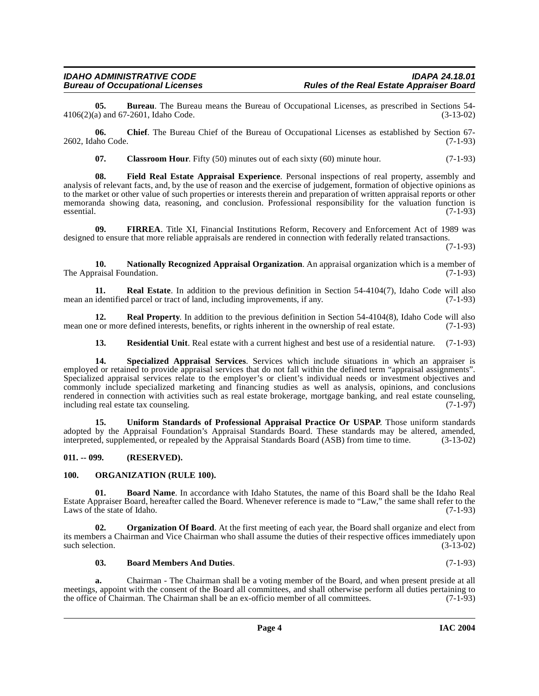**05. Bureau**. The Bureau means the Bureau of Occupational Licenses, as prescribed in Sections 54-<br>a) and 67-2601, Idaho Code. (3-13-02)  $4106(2)(a)$  and  $67-2601$ , Idaho Code.

**06.** Chief. The Bureau Chief of the Bureau of Occupational Licenses as established by Section 67-<br>
(7-1-93) 2602, Idaho Code.

<span id="page-3-6"></span><span id="page-3-4"></span>**07.** Classroom Hour. Fifty (50) minutes out of each sixty (60) minute hour. (7-1-93)

**08. Field Real Estate Appraisal Experience**. Personal inspections of real property, assembly and analysis of relevant facts, and, by the use of reason and the exercise of judgement, formation of objective opinions as to the market or other value of such properties or interests therein and preparation of written appraisal reports or other memoranda showing data, reasoning, and conclusion. Professional responsibility for the valuation function is essential. (7-1-93) essential. (7-1-93)

<span id="page-3-5"></span>**09. FIRREA**. Title XI, Financial Institutions Reform, Recovery and Enforcement Act of 1989 was designed to ensure that more reliable appraisals are rendered in connection with federally related transactions.

(7-1-93)

<span id="page-3-7"></span>**10. Nationally Recognized Appraisal Organization**. An appraisal organization which is a member of The Appraisal Foundation. (7-1-93)

<span id="page-3-10"></span>**11. Real Estate**. In addition to the previous definition in Section 54-4104(7), Idaho Code will also identified parcel or tract of land, including improvements, if any. (7-1-93) mean an identified parcel or tract of land, including improvements, if any.

**12. Real Property**. In addition to the previous definition in Section 54-4104(8), Idaho Code will also e or more defined interests, benefits, or rights inherent in the ownership of real estate. (7-1-93) mean one or more defined interests, benefits, or rights inherent in the ownership of real estate.

<span id="page-3-13"></span><span id="page-3-12"></span><span id="page-3-11"></span>**13. Residential Unit**. Real estate with a current highest and best use of a residential nature. (7-1-93)

**14. Specialized Appraisal Services**. Services which include situations in which an appraiser is employed or retained to provide appraisal services that do not fall within the defined term "appraisal assignments". Specialized appraisal services relate to the employer's or client's individual needs or investment objectives and commonly include specialized marketing and financing studies as well as analysis, opinions, and conclusions rendered in connection with activities such as real estate brokerage, mortgage banking, and real estate counseling, including real estate tax counseling. including real estate tax counseling.

<span id="page-3-14"></span>**15. Uniform Standards of Professional Appraisal Practice Or USPAP**. Those uniform standards adopted by the Appraisal Foundation's Appraisal Standards Board. These standards may be altered, amended, interpreted, supplemented, or repealed by the Appraisal Standards Board (ASB) from time to time. (3-13-02)

#### <span id="page-3-0"></span>**011. -- 099. (RESERVED).**

#### <span id="page-3-9"></span><span id="page-3-1"></span>**100. ORGANIZATION (RULE 100).**

<span id="page-3-3"></span>**01. Board Name**. In accordance with Idaho Statutes, the name of this Board shall be the Idaho Real Estate Appraiser Board, hereafter called the Board. Whenever reference is made to "Law," the same shall refer to the Laws of the state of Idaho. (7-1-93)

**02. Organization Of Board**. At the first meeting of each year, the Board shall organize and elect from its members a Chairman and Vice Chairman who shall assume the duties of their respective offices immediately upon such selection.

#### <span id="page-3-8"></span><span id="page-3-2"></span>**03. Board Members And Duties**. (7-1-93)

**a.** Chairman - The Chairman shall be a voting member of the Board, and when present preside at all meetings, appoint with the consent of the Board all committees, and shall otherwise perform all duties pertaining to the office of Chairman. The Chairman shall be an ex-officio member of all committees. (7-1-93) the office of Chairman. The Chairman shall be an ex-officio member of all committees.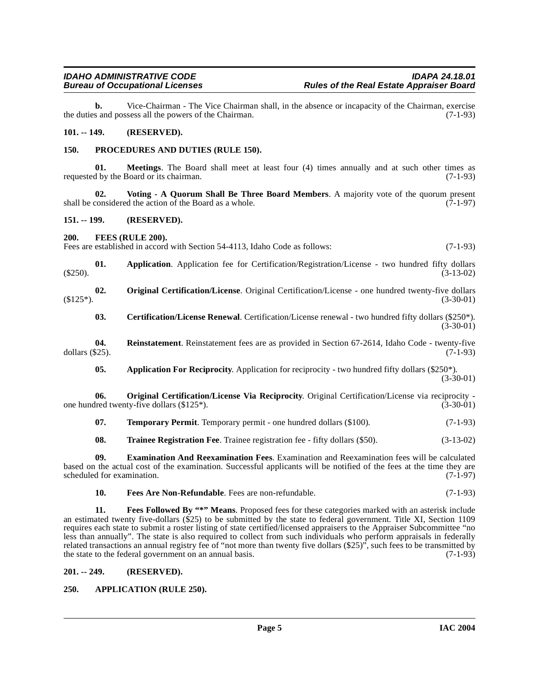**b.** Vice-Chairman - The Vice Chairman shall, in the absence or incapacity of the Chairman, exercise the duties and possess all the powers of the Chairman. (7-1-93)

#### <span id="page-4-0"></span>**101. -- 149. (RESERVED).**

#### <span id="page-4-15"></span><span id="page-4-1"></span>**150. PROCEDURES AND DUTIES (RULE 150).**

**01. Meetings**. The Board shall meet at least four (4) times annually and at such other times as d by the Board or its chairman. (7-1-93) requested by the Board or its chairman.

<span id="page-4-19"></span>**02.** Voting - A Quorum Shall Be Three Board Members. A majority vote of the quorum present considered the action of the Board as a whole. (7-1-97) shall be considered the action of the Board as a whole.

#### <span id="page-4-2"></span>**151. -- 199. (RESERVED).**

#### <span id="page-4-12"></span><span id="page-4-3"></span>**200. FEES (RULE 200).**

Fees are established in accord with Section 54-4113, Idaho Code as follows: (7-1-93)

**01. Application**. Application fee for Certification/Registration/License - two hundred fifty dollars  $(3-13-02)$ 

**02. Original Certification/License**. Original Certification/License - one hundred twenty-five dollars  $(3-30-01)$   $(3-30-01)$ 

<span id="page-4-16"></span><span id="page-4-14"></span><span id="page-4-8"></span>**03. Certification/License Renewal**. Certification/License renewal - two hundred fifty dollars (\$250\*). (3-30-01)

**04.** Reinstatement. Reinstatement fees are as provided in Section 67-2614, Idaho Code - twenty-five  $(7-1-93)$ dollars  $(\$25)$ .

<span id="page-4-13"></span><span id="page-4-6"></span>**05.** Application For Reciprocity. Application for reciprocity - two hundred fifty dollars (\$250<sup>\*</sup>). (3-30-01)

**06. Original Certification/License Via Reciprocity**. Original Certification/License via reciprocity one hundred twenty-five dollars (\$125\*). (3-30-01)

<span id="page-4-17"></span>**07. Temporary Permit**. Temporary permit - one hundred dollars (\$100). (7-1-93)

<span id="page-4-18"></span><span id="page-4-9"></span>**08. Trainee Registration Fee**. Trainee registration fee - fifty dollars (\$50). (3-13-02)

**09. Examination And Reexamination Fees**. Examination and Reexamination fees will be calculated based on the actual cost of the examination. Successful applicants will be notified of the fees at the time they are scheduled for examination. (7-1-97)

<span id="page-4-11"></span><span id="page-4-10"></span>**10. Fees Are Non-Refundable**. Fees are non-refundable. (7-1-93)

**11. Fees Followed By "\*" Means**. Proposed fees for these categories marked with an asterisk include an estimated twenty five-dollars (\$25) to be submitted by the state to federal government. Title XI, Section 1109 requires each state to submit a roster listing of state certified/licensed appraisers to the Appraiser Subcommittee "no less than annually". The state is also required to collect from such individuals who perform appraisals in federally related transactions an annual registry fee of "not more than twenty five dollars (\$25)", such fees to be transmitted by the state to the federal government on an annual basis. (7-1-93)

#### <span id="page-4-4"></span>**201. -- 249. (RESERVED).**

#### <span id="page-4-7"></span><span id="page-4-5"></span>**250. APPLICATION (RULE 250).**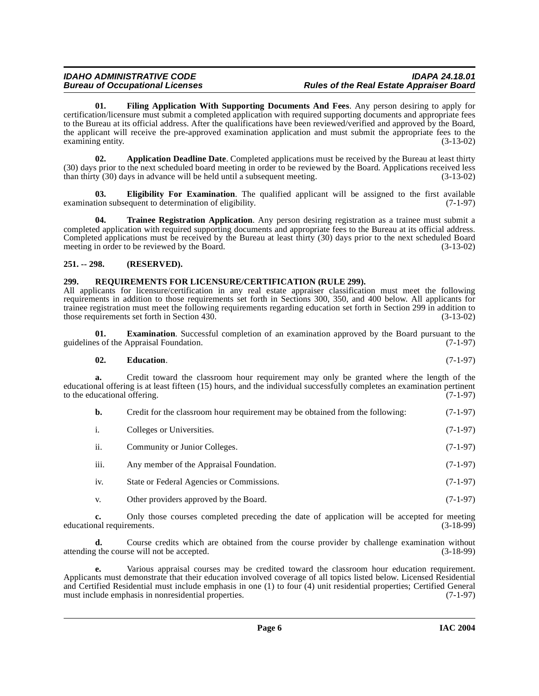<span id="page-5-5"></span>**01. Filing Application With Supporting Documents And Fees**. Any person desiring to apply for certification/licensure must submit a completed application with required supporting documents and appropriate fees to the Bureau at its official address. After the qualifications have been reviewed/verified and approved by the Board, the applicant will receive the pre-approved examination application and must submit the appropriate fees to the examining entity. (3-13-02)

<span id="page-5-2"></span>**02. Application Deadline Date**. Completed applications must be received by the Bureau at least thirty (30) days prior to the next scheduled board meeting in order to be reviewed by the Board. Applications received less than thirty (30) days in advance will be held until a subsequent meeting. (3-13-02)

<span id="page-5-4"></span>**03. Eligibility For Examination**. The qualified applicant will be assigned to the first available tion subsequent to determination of eligibility. (7-1-97) examination subsequent to determination of eligibility.

<span id="page-5-7"></span>**04. Trainee Registration Application**. Any person desiring registration as a trainee must submit a completed application with required supporting documents and appropriate fees to the Bureau at its official address. Completed applications must be received by the Bureau at least thirty (30) days prior to the next scheduled Board meeting in order to be reviewed by the Board.  $(3-13-02)$ meeting in order to be reviewed by the Board.

#### <span id="page-5-0"></span>**251. -- 298. (RESERVED).**

#### <span id="page-5-6"></span><span id="page-5-1"></span>**299. REQUIREMENTS FOR LICENSURE/CERTIFICATION (RULE 299).**

All applicants for licensure/certification in any real estate appraiser classification must meet the following requirements in addition to those requirements set forth in Sections 300, 350, and 400 below. All applicants for trainee registration must meet the following requirements regarding education set forth in Section 299 in addition to those requirements set forth in Section 430. (3-13-02)

**Examination**. Successful completion of an examination approved by the Board pursuant to the guidelines of the Appraisal Foundation. (7-1-97)

#### <span id="page-5-3"></span>**02. Education**. (7-1-97)

**a.** Credit toward the classroom hour requirement may only be granted where the length of the educational offering is at least fifteen (15) hours, and the individual successfully completes an examination pertinent to the educational offering. (7-1-97) to the educational offering.

| Credit for the classroom hour requirement may be obtained from the following: | $(7-1-97)$ |
|-------------------------------------------------------------------------------|------------|
| Colleges or Universities.                                                     | $(7-1-97)$ |

- ii. Community or Junior Colleges. (7-1-97)
- iii. Any member of the Appraisal Foundation. (7-1-97)
- iv. State or Federal Agencies or Commissions. (7-1-97)
- v. Other providers approved by the Board. (7-1-97)

**c.** Only those courses completed preceding the date of application will be accepted for meeting nal requirements. (3-18-99) educational requirements.

**d.** Course credits which are obtained from the course provider by challenge examination without the course will not be accepted. (3-18-99) attending the course will not be accepted.

**e.** Various appraisal courses may be credited toward the classroom hour education requirement. Applicants must demonstrate that their education involved coverage of all topics listed below. Licensed Residential and Certified Residential must include emphasis in one (1) to four (4) unit residential properties; Certified General must include emphasis in nonresidential properties. (7-1-97)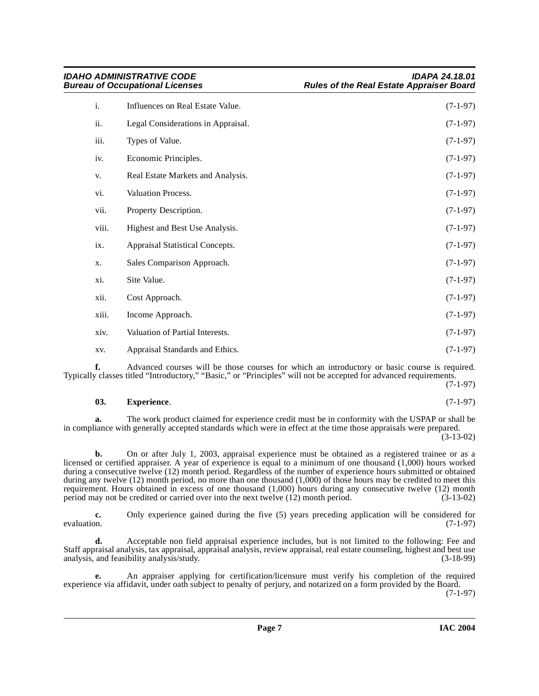| i.    | Influences on Real Estate Value.   | $(7-1-97)$ |
|-------|------------------------------------|------------|
| ii.   | Legal Considerations in Appraisal. | $(7-1-97)$ |
| iii.  | Types of Value.                    | $(7-1-97)$ |
| iv.   | Economic Principles.               | $(7-1-97)$ |
| V.    | Real Estate Markets and Analysis.  | $(7-1-97)$ |
| vi.   | Valuation Process.                 | $(7-1-97)$ |
| vii.  | Property Description.              | $(7-1-97)$ |
| viii. | Highest and Best Use Analysis.     | $(7-1-97)$ |
| ix.   | Appraisal Statistical Concepts.    | $(7-1-97)$ |
| X.    | Sales Comparison Approach.         | $(7-1-97)$ |
| xi.   | Site Value.                        | $(7-1-97)$ |
| xii.  | Cost Approach.                     | $(7-1-97)$ |
| xiii. | Income Approach.                   | $(7-1-97)$ |
| xiv.  | Valuation of Partial Interests.    | $(7-1-97)$ |
| XV.   | Appraisal Standards and Ethics.    | $(7-1-97)$ |

**f.** Advanced courses will be those courses for which an introductory or basic course is required. Typically classes titled "Introductory," "Basic," or "Principles" will not be accepted for advanced requirements.

(7-1-97)

#### <span id="page-6-0"></span>**03. Experience**. (7-1-97)

**a.** The work product claimed for experience credit must be in conformity with the USPAP or shall be in compliance with generally accepted standards which were in effect at the time those appraisals were prepared.

 $(3-13-02)$ 

**b.** On or after July 1, 2003, appraisal experience must be obtained as a registered trainee or as a licensed or certified appraiser. A year of experience is equal to a minimum of one thousand (1,000) hours worked during a consecutive twelve (12) month period. Regardless of the number of experience hours submitted or obtained during any twelve (12) month period, no more than one thousand (1,000) of those hours may be credited to meet this requirement. Hours obtained in excess of one thousand  $(1,000)$  hours during any consecutive twelve  $(12)$  month period may not be credited or carried over into the next twelve  $(12)$  month period.  $(3-13-02)$ period may not be credited or carried over into the next twelve  $(12)$  month period.

**c.** Only experience gained during the five (5) years preceding application will be considered for evaluation. (7-1-97) evaluation.  $(7-1-97)$ 

**d.** Acceptable non field appraisal experience includes, but is not limited to the following: Fee and Staff appraisal analysis, tax appraisal, appraisal analysis, review appraisal, real estate counseling, highest and best use analysis, and feasibility analysis/study. (3-18-99)

**e.** An appraiser applying for certification/licensure must verify his completion of the required experience via affidavit, under oath subject to penalty of perjury, and notarized on a form provided by the Board. (7-1-97)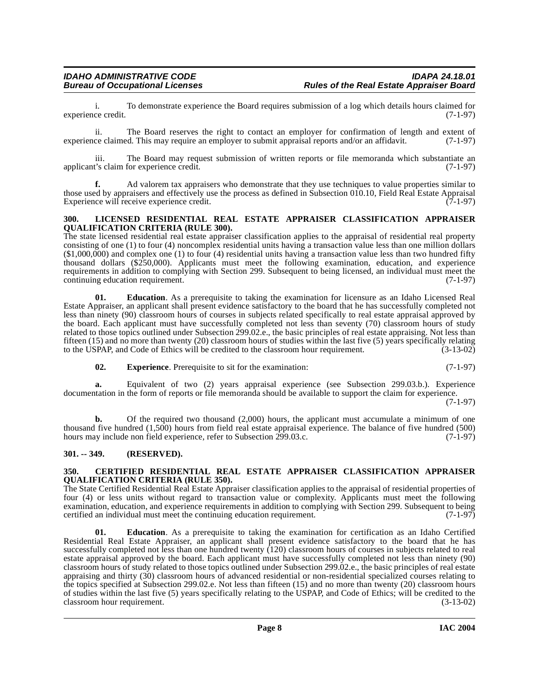i. To demonstrate experience the Board requires submission of a log which details hours claimed for experience credit.

ii. The Board reserves the right to contact an employer for confirmation of length and extent of experience claimed. This may require an employer to submit appraisal reports and/or an affidavit. (7-1-97)

iii. The Board may request submission of written reports or file memoranda which substantiate an t's claim for experience credit. (7-1-97) applicant's claim for experience credit.

**f.** Ad valorem tax appraisers who demonstrate that they use techniques to value properties similar to those used by appraisers and effectively use the process as defined in Subsection 010.10, Field Real Estate Appraisal Experience will receive experience credit. Experience will receive experience credit.

#### <span id="page-7-4"></span><span id="page-7-0"></span>**300. LICENSED RESIDENTIAL REAL ESTATE APPRAISER CLASSIFICATION APPRAISER QUALIFICATION CRITERIA (RULE 300).**

The state licensed residential real estate appraiser classification applies to the appraisal of residential real property consisting of one (1) to four (4) noncomplex residential units having a transaction value less than one million dollars  $(1,000,000)$  and complex one (1) to four (4) residential units having a transaction value less than two hundred fifty thousand dollars (\$250,000). Applicants must meet the following examination, education, and experience requirements in addition to complying with Section 299. Subsequent to being licensed, an individual must meet the continuing education requirement. (7-1-97)

**01. Education**. As a prerequisite to taking the examination for licensure as an Idaho Licensed Real Estate Appraiser, an applicant shall present evidence satisfactory to the board that he has successfully completed not less than ninety (90) classroom hours of courses in subjects related specifically to real estate appraisal approved by the board. Each applicant must have successfully completed not less than seventy (70) classroom hours of study related to those topics outlined under Subsection 299.02.e., the basic principles of real estate appraising. Not less than fifteen (15) and no more than twenty (20) classroom hours of studies within the last five (5) years specifically relating to the USPAP, and Code of Ethics will be credited to the classroom hour requirement. (3-13-02)

**02. Experience**. Prerequisite to sit for the examination: (7-1-97)

**a.** Equivalent of two (2) years appraisal experience (see Subsection 299.03.b.). Experience documentation in the form of reports or file memoranda should be available to support the claim for experience.

(7-1-97)

**b.** Of the required two thousand (2,000) hours, the applicant must accumulate a minimum of one thousand five hundred  $(1,500)$  hours from field real estate appraisal experience. The balance of five hundred (500) hours may include non field experience, refer to Subsection 299.03.c. (7-1-97) hours may include non field experience, refer to Subsection 299.03.c.

#### <span id="page-7-1"></span>**301. -- 349. (RESERVED).**

#### <span id="page-7-3"></span><span id="page-7-2"></span>**350. CERTIFIED RESIDENTIAL REAL ESTATE APPRAISER CLASSIFICATION APPRAISER QUALIFICATION CRITERIA (RULE 350).**

The State Certified Residential Real Estate Appraiser classification applies to the appraisal of residential properties of four (4) or less units without regard to transaction value or complexity. Applicants must meet the following examination, education, and experience requirements in addition to complying with Section 299. Subsequent to being certified an individual must meet the continuing education requirement. (7-1-97)

**01.** Education. As a prerequisite to taking the examination for certification as an Idaho Certified Residential Real Estate Appraiser, an applicant shall present evidence satisfactory to the board that he has successfully completed not less than one hundred twenty (120) classroom hours of courses in subjects related to real estate appraisal approved by the board. Each applicant must have successfully completed not less than ninety (90) classroom hours of study related to those topics outlined under Subsection 299.02.e., the basic principles of real estate appraising and thirty (30) classroom hours of advanced residential or non-residential specialized courses relating to the topics specified at Subsection 299.02.e. Not less than fifteen (15) and no more than twenty (20) classroom hours of studies within the last five (5) years specifically relating to the USPAP, and Code of Ethics; will be credited to the classroom hour requirement. (3-13-02)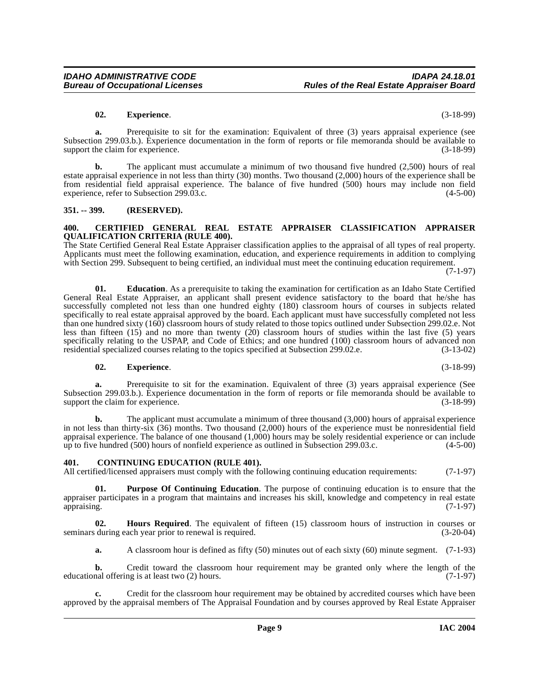#### **02. Experience**. (3-18-99)

**a.** Prerequisite to sit for the examination: Equivalent of three (3) years appraisal experience (see Subsection 299.03.b.). Experience documentation in the form of reports or file memoranda should be available to support the claim for experience. (3-18-99) support the claim for experience.

**b.** The applicant must accumulate a minimum of two thousand five hundred (2,500) hours of real estate appraisal experience in not less than thirty (30) months. Two thousand (2,000) hours of the experience shall be from residential field appraisal experience. The balance of five hundred (500) hours may include non field experience, refer to Subsection 299.03.c. experience, refer to Subsection 299.03.c.

#### <span id="page-8-0"></span>**351. -- 399. (RESERVED).**

#### <span id="page-8-3"></span><span id="page-8-1"></span>**400. CERTIFIED GENERAL REAL ESTATE APPRAISER CLASSIFICATION APPRAISER QUALIFICATION CRITERIA (RULE 400).**

The State Certified General Real Estate Appraiser classification applies to the appraisal of all types of real property. Applicants must meet the following examination, education, and experience requirements in addition to complying with Section 299. Subsequent to being certified, an individual must meet the continuing education requirement.

(7-1-97)

**01. Education**. As a prerequisite to taking the examination for certification as an Idaho State Certified General Real Estate Appraiser, an applicant shall present evidence satisfactory to the board that he/she has successfully completed not less than one hundred eighty (180) classroom hours of courses in subjects related specifically to real estate appraisal approved by the board. Each applicant must have successfully completed not less than one hundred sixty (160) classroom hours of study related to those topics outlined under Subsection 299.02.e. Not less than fifteen (15) and no more than twenty (20) classroom hours of studies within the last five (5) years specifically relating to the USPAP, and Code of Ethics; and one hundred (100) classroom hours of advanced non residential specialized courses relating to the topics specified at Subsection 299.02.e. (3-13-02)

#### **02. Experience**. (3-18-99)

**a.** Prerequisite to sit for the examination. Equivalent of three (3) years appraisal experience (See Subsection 299.03.b.). Experience documentation in the form of reports or file memoranda should be available to support the claim for experience. support the claim for experience.

**b.** The applicant must accumulate a minimum of three thousand (3,000) hours of appraisal experience in not less than thirty-six (36) months. Two thousand (2,000) hours of the experience must be nonresidential field appraisal experience. The balance of one thousand  $(1,000)$  hours may be solely residential experience or can include up to five hundred (500) hours of nonfield experience as outlined in Subsection 299.03.c.  $(4-5-00)$ up to five hundred  $(500)$  hours of nonfield experience as outlined in Subsection 299.03.c.

#### <span id="page-8-4"></span><span id="page-8-2"></span>**401. CONTINUING EDUCATION (RULE 401).**

All certified/licensed appraisers must comply with the following continuing education requirements: (7-1-97)

<span id="page-8-6"></span>**01. Purpose Of Continuing Education**. The purpose of continuing education is to ensure that the appraiser participates in a program that maintains and increases his skill, knowledge and competency in real estate appraising. (7-1-97) appraising. (7-1-97)

**02. Hours Required**. The equivalent of fifteen (15) classroom hours of instruction in courses or seminars during each year prior to renewal is required. (3-20-04)

<span id="page-8-5"></span>**a.** A classroom hour is defined as fifty (50) minutes out of each sixty (60) minute segment. (7-1-93)

**b.** Credit toward the classroom hour requirement may be granted only where the length of the nal offering is at least two (2) hours. (7-1-97) educational offering is at least two  $(2)$  hours.

**c.** Credit for the classroom hour requirement may be obtained by accredited courses which have been approved by the appraisal members of The Appraisal Foundation and by courses approved by Real Estate Appraiser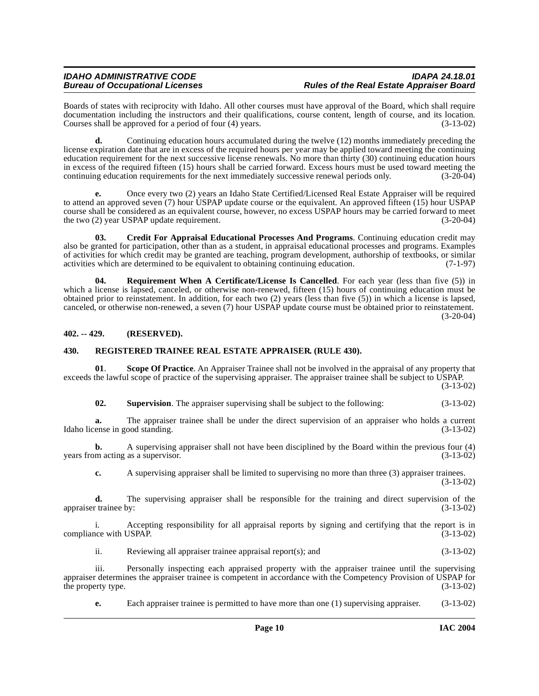Boards of states with reciprocity with Idaho. All other courses must have approval of the Board, which shall require documentation including the instructors and their qualifications, course content, length of course, and its location.<br>Courses shall be approved for a period of four (4) years. (3-13-02) Courses shall be approved for a period of four  $(4)$  years.

**d.** Continuing education hours accumulated during the twelve (12) months immediately preceding the license expiration date that are in excess of the required hours per year may be applied toward meeting the continuing education requirement for the next successive license renewals. No more than thirty (30) continuing education hours in excess of the required fifteen (15) hours shall be carried forward. Excess hours must be used toward meeting the continuing education requirements for the next immediately successive renewal periods only. (3-20-04)

**e.** Once every two (2) years an Idaho State Certified/Licensed Real Estate Appraiser will be required to attend an approved seven (7) hour USPAP update course or the equivalent. An approved fifteen (15) hour USPAP course shall be considered as an equivalent course, however, no excess USPAP hours may be carried forward to meet the two (2) year USPAP update requirement. (3-20-04)

<span id="page-9-2"></span>**03. Credit For Appraisal Educational Processes And Programs**. Continuing education credit may also be granted for participation, other than as a student, in appraisal educational processes and programs. Examples of activities for which credit may be granted are teaching, program development, authorship of textbooks, or similar activities which are determined to be equivalent to obtaining continuing education. (7-1-97)

<span id="page-9-4"></span>**04. Requirement When A Certificate/License Is Cancelled**. For each year (less than five (5)) in which a license is lapsed, canceled, or otherwise non-renewed, fifteen (15) hours of continuing education must be obtained prior to reinstatement. In addition, for each two (2) years (less than five (5)) in which a license is lapsed, canceled, or otherwise non-renewed, a seven (7) hour USPAP update course must be obtained prior to reinstatement. (3-20-04)

<span id="page-9-0"></span>**402. -- 429. (RESERVED).**

#### <span id="page-9-3"></span><span id="page-9-1"></span>**430. REGISTERED TRAINEE REAL ESTATE APPRAISER. (RULE 430).**

**01**. **Scope Of Practice**. An Appraiser Trainee shall not be involved in the appraisal of any property that exceeds the lawful scope of practice of the supervising appraiser. The appraiser trainee shall be subject to USPAP.

(3-13-02)

<span id="page-9-5"></span>**02. Supervision**. The appraiser supervising shall be subject to the following: (3-13-02)

**a.** The appraiser trainee shall be under the direct supervision of an appraiser who holds a current ense in good standing. (3-13-02) Idaho license in good standing.

**b.** A supervising appraiser shall not have been disciplined by the Board within the previous four (4) m acting as a supervisor. (3-13-02) years from acting as a supervisor.

**c.** A supervising appraiser shall be limited to supervising no more than three (3) appraiser trainees.

(3-13-02)

**d.** The supervising appraiser shall be responsible for the training and direct supervision of the training  $(3-13-02)$ appraiser trainee by:

i. Accepting responsibility for all appraisal reports by signing and certifying that the report is in<br>(3-13-02)<br>(3-13-02) compliance with USPAP.

ii. Reviewing all appraiser trainee appraisal report(s); and (3-13-02)

iii. Personally inspecting each appraised property with the appraiser trainee until the supervising appraiser determines the appraiser trainee is competent in accordance with the Competency Provision of USPAP for the property type.  $(3-13-02)$ 

**e.** Each appraiser trainee is permitted to have more than one (1) supervising appraiser. (3-13-02)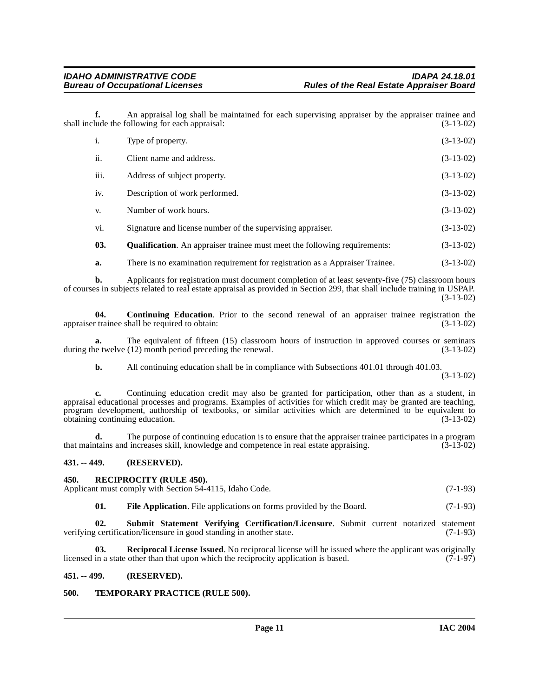**f.** An appraisal log shall be maintained for each supervising appraiser by the appraiser trainee and lude the following for each appraisal: (3-13-02) shall include the following for each appraisal:

| i.   | Type of property.                                                                | $(3-13-02)$ |
|------|----------------------------------------------------------------------------------|-------------|
| ii.  | Client name and address.                                                         | $(3-13-02)$ |
| iii. | Address of subject property.                                                     | $(3-13-02)$ |
| iv.  | Description of work performed.                                                   | $(3-13-02)$ |
| V.   | Number of work hours.                                                            | $(3-13-02)$ |
| vi.  | Signature and license number of the supervising appraiser.                       | $(3-13-02)$ |
| 03.  | <b>Qualification.</b> An appraiser trainee must meet the following requirements: | $(3-13-02)$ |
|      |                                                                                  |             |

<span id="page-10-6"></span><span id="page-10-4"></span>**a.** There is no examination requirement for registration as a Appraiser Trainee.  $(3-13-02)$ 

**b.** Applicants for registration must document completion of at least seventy-five (75) classroom hours of courses in subjects related to real estate appraisal as provided in Section 299, that shall include training in USPAP. (3-13-02)

**04.** Continuing Education. Prior to the second renewal of an appraiser trainee registration the required to obtain: (3-13-02) appraiser trainee shall be required to obtain:

**a.** The equivalent of fifteen (15) classroom hours of instruction in approved courses or seminars during the twelve (12) month period preceding the renewal. (3-13-02)

**b.** All continuing education shall be in compliance with Subsections 401.01 through 401.03.

(3-13-02)

**c.** Continuing education credit may also be granted for participation, other than as a student, in appraisal educational processes and programs. Examples of activities for which credit may be granted are teaching, program development, authorship of textbooks, or similar activities which are determined to be equivalent to obtaining continuing education. (3-13-02) obtaining continuing education.

**d.** The purpose of continuing education is to ensure that the appraiser trainee participates in a program trains and increases skill, knowledge and competence in real estate appraising. (3-13-02) that maintains and increases skill, knowledge and competence in real estate appraising.

#### <span id="page-10-0"></span>**431. -- 449. (RESERVED).**

<span id="page-10-8"></span><span id="page-10-5"></span><span id="page-10-1"></span>

| 450. |     | <b>RECIPROCITY (RULE 450).</b>                                                         |            |
|------|-----|----------------------------------------------------------------------------------------|------------|
|      |     | Applicant must comply with Section 54-4115, Idaho Code.                                | $(7-1-93)$ |
|      | 01. | <b>File Application.</b> File applications on forms provided by the Board.             | $(7-1-93)$ |
|      |     | Submit Statement Verifying Certification Licensure, Submit current noterized statement |            |

<span id="page-10-9"></span>**02. Submit Statement Verifying Certification/Licensure**. Submit current notarized statement verifying certification/licensure in good standing in another state. (7-1-93)

<span id="page-10-7"></span>**03. Reciprocal License Issued**. No reciprocal license will be issued where the applicant was originally licensed in a state other than that upon which the reciprocity application is based. (7-1-97)

#### <span id="page-10-2"></span>**451. -- 499. (RESERVED).**

#### <span id="page-10-10"></span><span id="page-10-3"></span>**500. TEMPORARY PRACTICE (RULE 500).**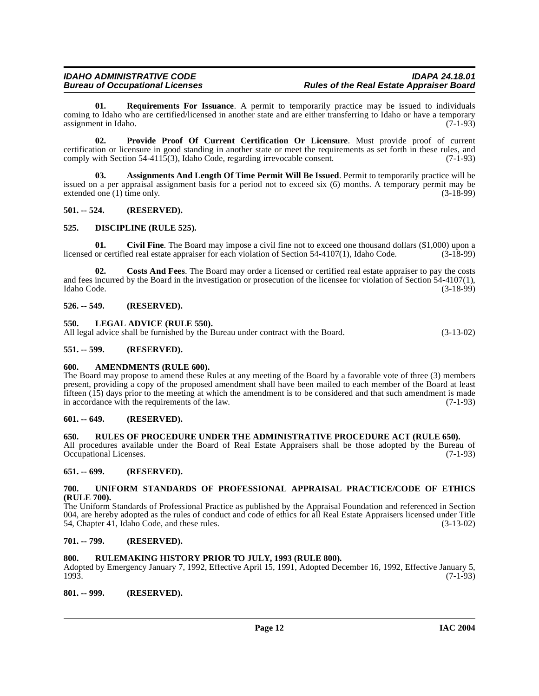<span id="page-11-20"></span>**01. Requirements For Issuance**. A permit to temporarily practice may be issued to individuals coming to Idaho who are certified/licensed in another state and are either transferring to Idaho or have a temporary<br>(7-1-93) assignment in Idaho.

<span id="page-11-19"></span>**02. Provide Proof Of Current Certification Or Licensure**. Must provide proof of current certification or licensure in good standing in another state or meet the requirements as set forth in these rules, and comply with Section 54-4115(3), Idaho Code, regarding irrevocable consent.  $(7-1-93)$ comply with Section 54-4115(3), Idaho Code, regarding irrevocable consent.

<span id="page-11-14"></span>**03. Assignments And Length Of Time Permit Will Be Issued**. Permit to temporarily practice will be issued on a per appraisal assignment basis for a period not to exceed six (6) months. A temporary permit may be extended one (1) time only. (3-18-99) extended one  $(1)$  time only.

#### <span id="page-11-0"></span>**501. -- 524. (RESERVED).**

#### <span id="page-11-17"></span><span id="page-11-1"></span>**525. DISCIPLINE (RULE 525).**

<span id="page-11-15"></span>**01.** Civil Fine. The Board may impose a civil fine not to exceed one thousand dollars (\$1,000) upon a or certified real estate appraiser for each violation of Section 54-4107(1). Idaho Code. (3-18-99) licensed or certified real estate appraiser for each violation of Section  $54-4107(1)$ , Idaho Code.

<span id="page-11-16"></span>**02. Costs And Fees**. The Board may order a licensed or certified real estate appraiser to pay the costs and fees incurred by the Board in the investigation or prosecution of the licensee for violation of Section  $\frac{54-4107(1)}{3-18-99}$ Idaho Code. (3-18-99)

#### <span id="page-11-2"></span>**526. -- 549. (RESERVED).**

<span id="page-11-18"></span><span id="page-11-3"></span>**550. LEGAL ADVICE (RULE 550).**

All legal advice shall be furnished by the Bureau under contract with the Board. (3-13-02)

#### <span id="page-11-4"></span>**551. -- 599. (RESERVED).**

#### <span id="page-11-13"></span><span id="page-11-5"></span>**600. AMENDMENTS (RULE 600).**

The Board may propose to amend these Rules at any meeting of the Board by a favorable vote of three (3) members present, providing a copy of the proposed amendment shall have been mailed to each member of the Board at least fifteen (15) days prior to the meeting at which the amendment is to be considered and that such amendment is made in accordance with the requirements of the law. (7-1-93)

#### <span id="page-11-6"></span>**601. -- 649. (RESERVED).**

#### <span id="page-11-21"></span><span id="page-11-7"></span>**650. RULES OF PROCEDURE UNDER THE ADMINISTRATIVE PROCEDURE ACT (RULE 650).**

All procedures available under the Board of Real Estate Appraisers shall be those adopted by the Bureau of Occupational Licenses. (7-1-93)

#### <span id="page-11-8"></span>**651. -- 699. (RESERVED).**

#### <span id="page-11-22"></span><span id="page-11-9"></span>**700. UNIFORM STANDARDS OF PROFESSIONAL APPRAISAL PRACTICE/CODE OF ETHICS (RULE 700).**

The Uniform Standards of Professional Practice as published by the Appraisal Foundation and referenced in Section 004, are hereby adopted as the rules of conduct and code of ethics for all Real Estate Appraisers licensed under Title 54, Chapter 41, Idaho Code, and these rules. (3-13-02)

#### <span id="page-11-10"></span>**701. -- 799. (RESERVED).**

#### <span id="page-11-11"></span>**800. RULEMAKING HISTORY PRIOR TO JULY, 1993 (RULE 800).**

Adopted by Emergency January 7, 1992, Effective April 15, 1991, Adopted December 16, 1992, Effective January 5, 1993. 1993. (7-1-93)

<span id="page-11-12"></span>**801. -- 999. (RESERVED).**